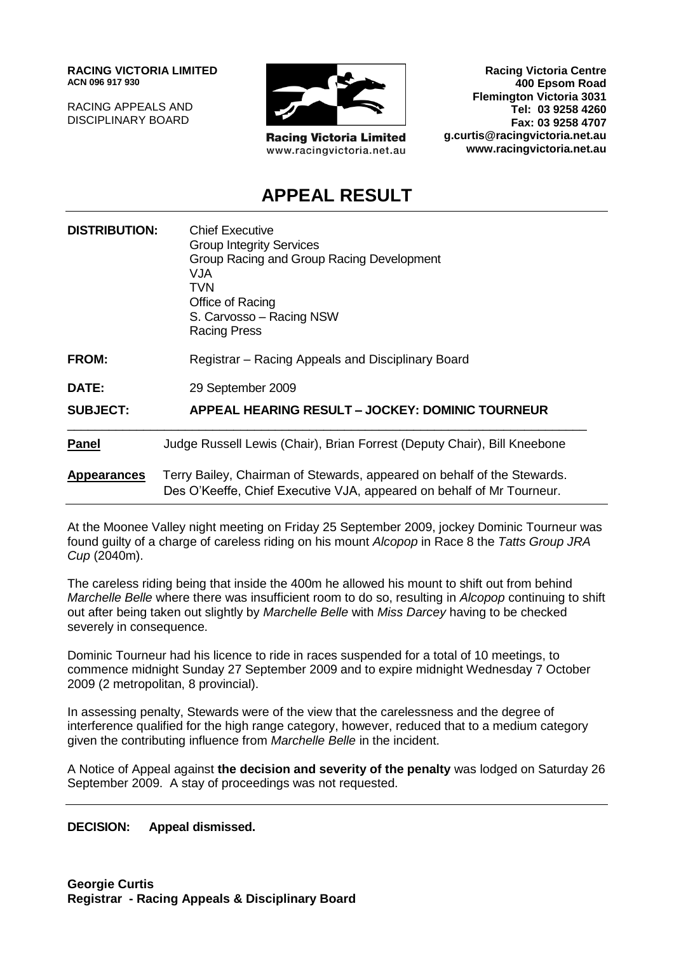**RACING VICTORIA LIMITED ACN 096 917 930**

RACING APPEALS AND DISCIPLINARY BOARD



**Racing Victoria Limited** www.racingvictoria.net.au

**Racing Victoria Centre 400 Epsom Road Flemington Victoria 3031 Tel: 03 9258 4260 Fax: 03 9258 4707 g.curtis@racingvictoria.net.au www.racingvictoria.net.au**

# **APPEAL RESULT**

| <b>DISTRIBUTION:</b> | <b>Chief Executive</b><br><b>Group Integrity Services</b><br>Group Racing and Group Racing Development<br>VJA<br>TVN<br>Office of Racing<br>S. Carvosso - Racing NSW<br><b>Racing Press</b> |
|----------------------|---------------------------------------------------------------------------------------------------------------------------------------------------------------------------------------------|
| <b>FROM:</b>         | Registrar – Racing Appeals and Disciplinary Board                                                                                                                                           |
| DATE:                | 29 September 2009                                                                                                                                                                           |
| <b>SUBJECT:</b>      | <b>APPEAL HEARING RESULT - JOCKEY: DOMINIC TOURNEUR</b>                                                                                                                                     |
| <b>Panel</b>         | Judge Russell Lewis (Chair), Brian Forrest (Deputy Chair), Bill Kneebone                                                                                                                    |
| <b>Appearances</b>   | Terry Bailey, Chairman of Stewards, appeared on behalf of the Stewards.<br>Des O'Keeffe, Chief Executive VJA, appeared on behalf of Mr Tourneur.                                            |

At the Moonee Valley night meeting on Friday 25 September 2009, jockey Dominic Tourneur was found guilty of a charge of careless riding on his mount *Alcopop* in Race 8 the *Tatts Group JRA Cup* (2040m).

The careless riding being that inside the 400m he allowed his mount to shift out from behind *Marchelle Belle* where there was insufficient room to do so, resulting in *Alcopop* continuing to shift out after being taken out slightly by *Marchelle Belle* with *Miss Darcey* having to be checked severely in consequence.

Dominic Tourneur had his licence to ride in races suspended for a total of 10 meetings, to commence midnight Sunday 27 September 2009 and to expire midnight Wednesday 7 October 2009 (2 metropolitan, 8 provincial).

In assessing penalty, Stewards were of the view that the carelessness and the degree of interference qualified for the high range category, however, reduced that to a medium category given the contributing influence from *Marchelle Belle* in the incident.

A Notice of Appeal against **the decision and severity of the penalty** was lodged on Saturday 26 September 2009. A stay of proceedings was not requested.

**DECISION: Appeal dismissed.**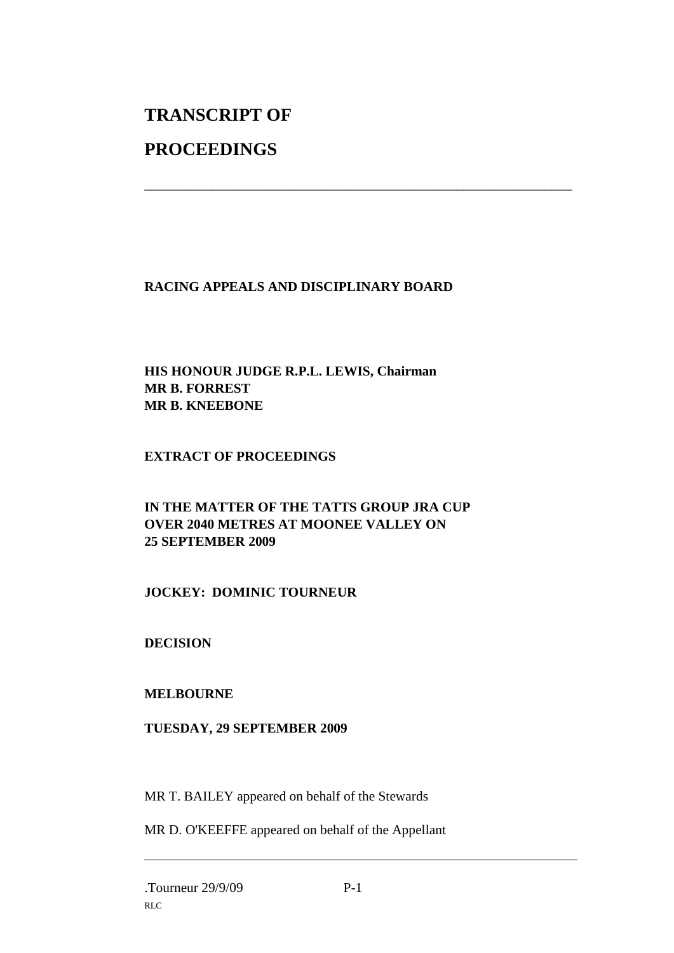# **TRANSCRIPT OF PROCEEDINGS**

## **RACING APPEALS AND DISCIPLINARY BOARD**

\_\_\_\_\_\_\_\_\_\_\_\_\_\_\_\_\_\_\_\_\_\_\_\_\_\_\_\_\_\_\_\_\_\_\_\_\_\_\_\_\_\_\_\_\_\_\_\_\_\_\_\_\_\_\_\_\_\_\_\_\_\_\_

#### **HIS HONOUR JUDGE R.P.L. LEWIS, Chairman MR B. FORREST MR B. KNEEBONE**

### **EXTRACT OF PROCEEDINGS**

### **IN THE MATTER OF THE TATTS GROUP JRA CUP OVER 2040 METRES AT MOONEE VALLEY ON 25 SEPTEMBER 2009**

### **JOCKEY: DOMINIC TOURNEUR**

### **DECISION**

### **MELBOURNE**

#### **TUESDAY, 29 SEPTEMBER 2009**

MR T. BAILEY appeared on behalf of the Stewards

MR D. O'KEEFFE appeared on behalf of the Appellant